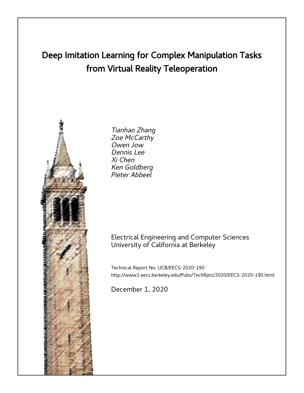# Deep Imitation Learning for Complex Manipulation Tasks from Virtual Reality Teleoperation



Tianhao Zhang Zoe McCarthy Owen Jow Dennis Lee Xi Chen Ken Goldberg Pieter Abbeel

# Electrical Engineering and Computer Sciences University of California at Berkeley

Technical Report No. UCB/EECS-2020-190 http://www2.eecs.berkeley.edu/Pubs/TechRpts/2020/EECS-2020-190.html

December 1, 2020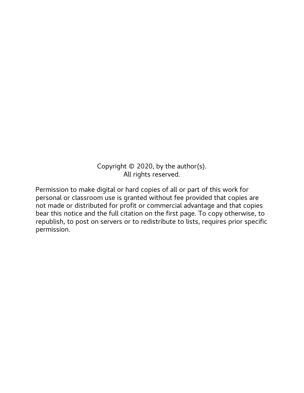Copyright © 2020, by the author(s). All rights reserved.

Permission to make digital or hard copies of all or part of this work for personal or classroom use is granted without fee provided that copies are not made or distributed for profit or commercial advantage and that copies bear this notice and the full citation on the first page. To copy otherwise, to republish, to post on servers or to redistribute to lists, requires prior specific permission.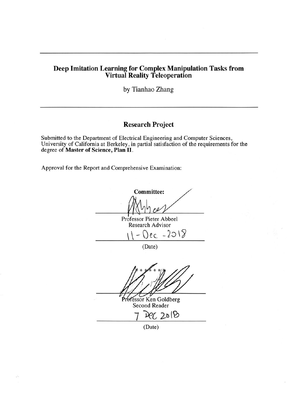## Deep Imitation Learning for Complex Manipulation Tasks from Virtual Reality Teleoperation

by Tianhao Zhang

# **Research Project**

Submitted to the Department of Electrical Engineering and Computer Sciences, University of California at Berkeley, in partial satisfaction of the requirements for the degree of Master of Science, Plan II.

Approval for the Report and Comprehensive Examination:

**Committee:** 

Professor Pieter Abbeel **Research Advisor** Dec -2018

(Date)

**Peressor Ken Goldberg** Second Reader Dec 2018

(Date)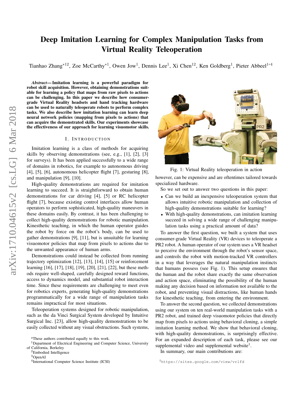# Deep Imitation Learning for Complex Manipulation Tasks from Virtual Reality Teleoperation

Tianhao Zhang<sup>∗12</sup>, Zoe McCarthy<sup>∗1</sup>, Owen Jow<sup>1</sup>, Dennis Lee<sup>1</sup>, Xi Chen<sup>12</sup>, Ken Goldberg<sup>1</sup>, Pieter Abbeel<sup>1-4</sup>

*Abstract*— Imitation learning is a powerful paradigm for robot skill acquisition. However, obtaining demonstrations suitable for learning a policy that maps from raw pixels to actions can be challenging. In this paper we describe how consumergrade Virtual Reality headsets and hand tracking hardware can be used to naturally teleoperate robots to perform complex tasks. We also describe how imitation learning can learn deep neural network policies (mapping from pixels to actions) that can acquire the demonstrated skills. Our experiments showcase the effectiveness of our approach for learning visuomotor skills.

#### I. INTRODUCTION

Imitation learning is a class of methods for acquiring skills by observing demonstrations (see, e.g., [1], [2], [3] for surveys). It has been applied successfully to a wide range of domains in robotics, for example to autonomous driving [4], [5], [6], autonomous helicopter flight [7], gesturing [8], and manipulation [9], [10].

High-quality demonstrations are required for imitation learning to succeed. It is straightforward to obtain human demonstrations for car driving [4], [5] or RC helicopter flight [7], because existing control interfaces allow human operators to perform sophisticated, high-quality maneuvers in these domains easily. By contrast, it has been challenging to collect high-quality demonstrations for robotic manipulation. Kinesthetic teaching, in which the human operator guides the robot by force on the robot's body, can be used to gather demonstrations [9], [11], but is unsuitable for learning visuomotor policies that map from pixels to actions due to the unwanted appearance of human arms.

Demonstrations could instead be collected from running trajectory optimization [12], [13], [14], [15] or reinforcement learning [16], [17], [18], [19], [20], [21], [22], but these methods require well-shaped, carefully designed reward functions, access to dynamics model, and substantial robot interaction time. Since these requirements are challenging to meet even for robotics experts, generating high-quality demonstrations programmatically for a wide range of manipulation tasks remains impractical for most situations.

Teleoperation systems designed for robotic manipulation, such as the da Vinci Surgical System developed by Intuitive Surgical Inc. [23], allow high-quality demonstrations to be easily collected without any visual obstructions. Such systems,



Fig. 1: Virtual Reality teleoperation in action however, can be expensive and are oftentimes tailored towards specialized hardware.

So we set out to answer two questions in this paper:

- Can we build an inexpensive teleoperation system that allows intuitive robotic manipulation and collection of high-quality demonstrations suitable for learning?
- With high-quality demonstrations, can imitation learning succeed in solving a wide range of challenging manipulation tasks using a practical amount of data?

To answer the first question, we built a system that uses consumer-grade Virtual Reality (VR) devices to teleoperate a PR2 robot. A human operator of our system uses a VR headset to perceive the environment through the robot's sensor space, and controls the robot with motion-tracked VR controllers in a way that leverages the natural manipulation instincts that humans possess (see Fig. 1). This setup ensures that the human and the robot share exactly the same observation and action space, eliminating the possibility of the human making any decision based on information not available to the robot, and preventing visual distractions, like human hands for kinesthetic teaching, from entering the environment.

To answer the second question, we collected demonstrations using our system on ten real-world manipulation tasks with a PR2 robot, and trained deep visuomotor policies that directly map from pixels to actions using behavioral cloning, a simple imitation learning method. We show that behavioral cloning, with high-quality demonstrations, is surprisingly effective. For an expanded description of each task, please see our supplemental video and supplemental website $<sup>1</sup>$ .</sup>

In summary, our main contributions are:

<sup>\*</sup>These authors contributed equally to this work.

 $1$ Department of Electrical Engineering and Computer Science, University of California, Berkeley

<sup>2</sup>Embodied Intelligence

<sup>3</sup>OpenAI

<sup>4</sup> International Computer Science Institute (ICSI)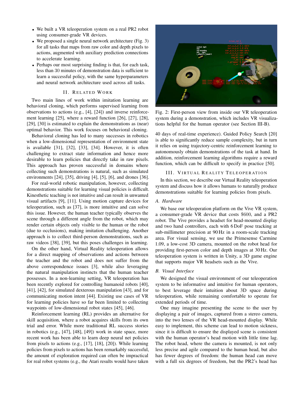- We built a VR teleoperation system on a real PR2 robot using consumer-grade VR devices.
- We proposed a single neural network architecture (Fig. 3) for all tasks that maps from raw color and depth pixels to actions, augmented with auxiliary prediction connections to accelerate learning.
- Perhaps our most surprising finding is that, for each task, less than 30 minutes of demonstration data is sufficient to learn a successful policy, with the same hyperparameters and neural network architecture used across all tasks.

### II. RELATED WORK

Two main lines of work within imitation learning are behavioral cloning, which performs supervised learning from observations to actions (e.g., [4], [24]) and inverse reinforcement learning [25], where a reward function [26], [27], [28], [29], [30] is estimated to explain the demonstrations as (near) optimal behavior. This work focuses on behavioral cloning.

Behavioral cloning has led to many successes in robotics when a low-dimensional representation of environment state is available [31], [32], [33], [34]. However, it is often challenging to extract state information and hence more desirable to learn policies that directly take in raw pixels. This approach has proven successful in domains where collecting such demonstrations is natural, such as simulated environments [24], [35], driving [4], [5], [6], and drones [36].

For real-world robotic manipulation, however, collecting demonstrations suitable for learning visual policies is difficult. Kinesthetic teaching is not intuitive and can result in unwanted visual artifacts [9], [11]. Using motion capture devices for teleoperation, such as [37], is more intuitive and can solve this issue. However, the human teacher typically observes the scene through a different angle from the robot, which may render certain objects only visible to the human or the robot (due to occlusions), making imitation challenging. Another approach is to collect third-person demonstrations, such as raw videos [38], [39], but this poses challenges in learning.

On the other hand, Virtual Reality teleoperation allows for a direct mapping of observations and actions between the teacher and the robot and does not suffer from the above correspondence issues [3], while also leveraging the natural manipulation instincts that the human teacher possesses. In a non-learning setting, VR teleoperation has been recently explored for controlling humanoid robots [40], [41], [42], for simulated dexterous manipulation [43], and for communicating motion intent [44]. Existing use cases of VR for learning policies have so far been limited to collecting waypoints of low-dimensional robot states [45], [46].

Reinforcement learning (RL) provides an alternative for skill acquisition, where a robot acquires skills from its own trial and error. While more traditional RL success stories in robotics (e.g., [47], [48], [49]) work in state space, more recent work has been able to learn deep neural net policies from pixels to actions (e.g., [17], [18], [20]). While learning policies from pixels to actions has been remarkably successful, the amount of exploration required can often be impractical for real robot systems (e.g., the Atari results would have taken



Fig. 2: First-person view from inside our VR teleoperation system during a demonstration, which includes VR visualizations helpful for the human operator (see Section III-B).

40 days of real-time experience). Guided Policy Search [20] is able to significantly reduce sample complexity, but in turn it relies on using trajectory-centric reinforcement learning to autonomously obtain demonstrations of the task at hand. In addition, reinforcement learning algorithms require a reward function, which can be difficult to specify in practice [50].

#### III. VIRTUAL REALITY TELEOPERATION

In this section, we describe our Virtual Reality teleoperation system and discuss how it allows humans to naturally produce demonstrations suitable for learning policies from pixels.

#### *A. Hardware*

We base our teleoperation platform on the Vive VR system, a consumer-grade VR device that costs \$600, and a PR2 robot. The Vive provides a headset for head-mounted display and two hand controllers, each with 6 DoF pose tracking at sub-millimeter precision at 90 Hz in a room-scale tracking area. For visual sensing, we use the Primesense Carmine 1.09, a low-cost 3D camera, mounted on the robot head for providing first-person color and depth images at 30 Hz. Our teleoperation system is written in Unity, a 3D game engine that supports major VR headsets such as the Vive.

#### *B. Visual Interface*

We designed the visual environment of our teleoperation system to be informative and intuitive for human operators, to best leverage their intuition about 3D space during teleoperation, while remaining comfortable to operate for extended periods of time.

One may imagine presenting the scene to the user by displaying a pair of images, captured from a stereo camera, into the two lenses of the VR head-mounted display. While easy to implement, this scheme can lead to motion sickness, since it is difficult to ensure the displayed scene is consistent with the human operator's head motion with little time lag. The robot head, where the camera is mounted, is not only less precise and agile compared to the human head, but also has fewer degrees of freedom: the human head can move with a full six degrees of freedom, but the PR2's head has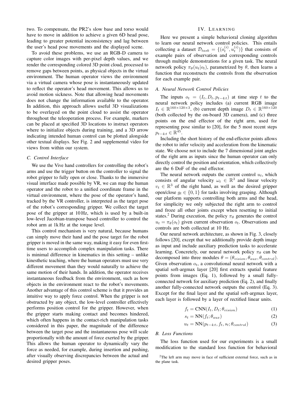two. To compensate, the PR2's slow base and torso would have to move in addition to achieve a given 6D head pose, leading to greater potential inconsistency and lag between the user's head pose movements and the displayed scene.

To avoid these problems, we use an RGB-D camera to capture color images with per-pixel depth values, and we render the corresponding colored 3D point cloud, processed to remove gaps between points, as physical objects in the virtual environment. The human operator views the environment via a virtual camera whose pose is instantaneously updated to reflect the operator's head movement. This allows us to avoid motion sickness. Note that allowing head movements does not change the information available to the operator. In addition, this approach allows useful 3D visualizations to be overlayed on the point cloud to assist the operator throughout the teleoperation process. For example, markers can be placed at specified 3D locations to instruct operators where to initialize objects during training, and a 3D arrow indicating intended human control can be plotted alongside other textual displays. See Fig. 2 and supplemental video for views from within our system.

#### *C. Control Interface*

We use the Vive hand controllers for controlling the robot's arms and use the trigger button on the controller to signal the robot gripper to fully open or close. Thanks to the immersive visual interface made possible by VR, we can map the human operator and the robot to a unified coordinate frame in the virtual environment, where the pose of the operator's hand, tracked by the VR controller, is interpreted as the target pose of the robot's corresponding gripper. We collect the target pose of the gripper at 10 Hz, which is used by a built-in low-level Jacobian-transpose based controller to control the robot arm at 1k Hz at the torque level.

This control mechanism is very natural, because humans can simply move their hand and the pose target for the robot gripper is moved in the same way, making it easy for even firsttime users to accomplish complex manipulation tasks. There is minimal difference in kinematics in this setting – unlike kinesthetic teaching, where the human operators must use very different movement than they would naturally to achieve the same motion of their hands. In addition, the operator receives instantaneous feedback from the environment, such as how objects in the environment react to the robot's movements. Another advantage of this control scheme is that it provides an intuitive way to apply force control. When the gripper is not obstructed by any object, the low-level controller effectively performs position control for the gripper. However, when the gripper starts making contact and becomes hindered, which often happens in the contact-rich manipulation tasks considered in this paper, the magnitude of the difference between the target pose and the instantaneous pose will scale proportionally with the amount of force exerted by the gripper. This allows the human operator to dynamically vary the force as needed, for example, during insertion and pushing, after visually observing discrepancies between the actual and desired gripper poses.

#### IV. LEARNING

Here we present a simple behavioral cloning algorithm to learn our neural network control policies. This entails collecting a dataset  $\mathcal{D}_{task} = \{(o_t^{(i)}, u_t^{(i)})\}$  that consists of example pairs of observation and corresponding controls through multiple demonstrations for a given task. The neural network policy  $\pi_{\theta}(u_t|o_t)$ , parametrized by  $\theta$ , then learns a function that reconstructs the controls from the observation for each example pair.

#### *A. Neural Network Control Policies*

The inputs  $o_t = (I_t, D_t, p_{t-4:t})$  at time step t to the neural network policy includes (a) current RGB image  $I_t \in \mathbb{R}^{160 \times 120 \times 3}$ , (b) current depth image  $D_t \in \mathbb{R}^{160 \times 120}$ (both collected by the on-board 3D camera), and (c) three points on the end effector of the right arm, used for representing pose similar to [20], for the 5 most recent steps  $p_{t-4:t} \in \mathbb{R}^{45}$ .

Including the short history of the end-effector points allows the robot to infer velocity and acceleration from the kinematic state. We choose not to include the 7 dimensional joint angles of the right arm as inputs since the human operator can only directly control the position and orientation, which collectively are the 6 DoF of the end effector.

The neural network outputs the current control  $u_t$ , which consists of angular velocity  $\omega_t \in \mathbb{R}^3$  and linear velocity  $v_t \in \mathbb{R}^3$  of the right hand, as well as the desired gripper open/close  $g_t \in \{0, 1\}$  for tasks involving grasping. Although our platform supports controlling both arms and the head, for simplicity we only subjected the right arm to control and froze all other joints except when resetting to initial states.<sup>2</sup> During execution, the policy  $\pi_{\theta}$  generates the control  $u_t = \pi_\theta(o_t)$  given current observation  $o_t$ . Observations and controls are both collected at 10 Hz.

Our neural network architecture, as shown in Fig. 3, closely follows [20], except that we additionally provide depth image as input and include auxiliary prediction tasks to accelerate learning. Concretely, our neural network policy  $\pi_{\theta}$  can be decomposed into three modules  $\theta = (\theta_{vision}, \theta_{aux}, \theta_{control})$ . Given observation  $o_t$ , a convolutional neural network with a spatial soft-argmax layer [20] first extracts spatial feature points from images (Eq. 1), followed by a small fullyconnected network for auxiliary prediction (Eq. 2), and finally another fully-connected network outputs the control (Eq. 3). Except for the final layer and the spatial soft-argmax layer, each layer is followed by a layer of rectified linear units.

$$
f_t = \text{CNN}(I_t, D_t; \theta_{vision})
$$
\n(1)

$$
s_t = \text{NN}(f_t; \theta_{aux}) \tag{2}
$$

$$
u_t = NN(p_{t-4:t}, f_t, s_t; \theta_{control})
$$
\n(3)

#### *B. Loss Functions*

The loss function used for our experiments is a small modification to the standard loss function for behavioral

<sup>2</sup>The left arm may move in face of sufficient external force, such as in the plane task.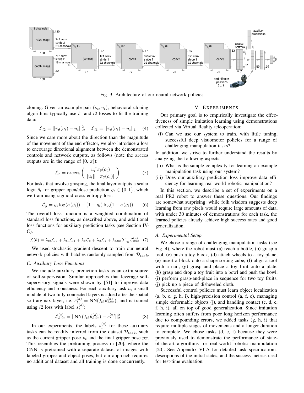

Fig. 3: Architecture of our neural network policies

cloning. Given an example pair  $(o_t, u_t)$ , behavioral cloning algorithms typically use  $l_1$  and  $l_2$  losses to fit the training data:

$$
\mathcal{L}_{l2} = ||\pi_{\theta}(o_t) - u_t||_2^2, \quad \mathcal{L}_{l1} = ||\pi_{\theta}(o_t) - u_t||_1 \quad (4)
$$

Since we care more about the direction than the magnitude of the movement of the end effector, we also introduce a loss to encourage directional alignment between the demonstrated controls and network outputs, as follows (note the arccos outputs are in the range of  $[0, \pi]$ :

$$
\mathcal{L}_c = \arccos\left(\frac{u_t^T \pi_\theta(o_t)}{||u_t|| \, ||\pi_\theta(o_t)||}\right) \tag{5}
$$

For tasks that involve grasping, the final layer outputs a scalar logit  $\hat{g}_t$  for gripper open/close prediction  $g_t \in \{0, 1\}$ , which we train using sigmoid cross entropy loss:

$$
\mathcal{L}_g = g_t \log(\sigma(\hat{g}_t)) - (1 - g_t) \log(1 - \sigma(\hat{g}_t)) \tag{6}
$$

The overall loss function is a weighted combination of standard loss functions, as described above, and additional loss functions for auxiliary prediction tasks (see Section IV-C).

$$
\mathcal{L}(\theta) = \lambda_{l2} \mathcal{L}_{l2} + \lambda_{l1} \mathcal{L}_{l1} + \lambda_c \mathcal{L}_c + \lambda_g \mathcal{L}_g + \lambda_{aux} \sum_a \mathcal{L}_{aux}^{(a)} \quad (7)
$$

We used stochastic gradient descent to train our neural network policies with batches randomly sampled from  $\mathcal{D}_{task}$ .

#### *C. Auxiliary Loss Functions*

We include auxiliary prediction tasks as an extra source of self-supervision. Similar approaches that leverage selfsupervisory signals were shown by [51] to improve data efficiency and robustness. For each auxiliary task  $a$ , a small module of two fully-connected layers is added after the spatial soft-argmax layer, i.e.  $\hat{s}_{t}^{(a)} = NN(f_t; \theta_{aux}^{(a)})$ , and is trained using l2 loss with label  $s_t^{(a)}$ :

$$
\mathcal{L}_{aux}^{(a)} = ||NN(f_t; \theta_{aux}^{(a)}) - s_t^{(a)}||_2^2
$$
 (8)

In our experiments, the labels  $s_t^{(a)}$  for these auxiliary tasks can be readily inferred from the dataset  $\mathcal{D}_{task}$ , such as the current gripper pose  $p_t$  and the final gripper pose  $p_T$ . This resembles the pretraining process in [20], where the CNN is pretrained with a separate dataset of images with labeled gripper and object poses, but our approach requires no additional dataset and all training is done concurrently.

#### V. EXPERIMENTS

Our primary goal is to empirically investigate the effectiveness of simple imitation learning using demonstrations collected via Virtual Reality teleoperation:

(i) Can we use our system to train, with little tuning, successful deep visuomotor policies for a range of challenging manipulation tasks?

In addition, we strive to further understand the results by analyzing the following aspects:

- (ii) What is the sample complexity for learning an example manipulation task using our system?
- (iii) Does our auxiliary prediction loss improve data efficiency for learning real-world robotic manipulation?

In this section, we describe a set of experiments on a real PR2 robot to answer these questions. Our findings are somewhat surprising: while folk wisdom suggests deep learning from raw pixels would require large amounts of data, with under 30 minutes of demonstrations for each task, the learned policies already achieve high success rates and good generalization.

#### *A. Experimental Setup*

We chose a range of challenging manipulation tasks (see Fig. 4), where the robot must (a) reach a bottle, (b) grasp a tool, (c) push a toy block, (d) attach wheels to a toy plane, (e) insert a block onto a shape-sorting cube, (f) align a tool with a nail, (g) grasp and place a toy fruit onto a plate, (h) grasp and drop a toy fruit into a bowl and push the bowl, (i) perform grasp-and-place in sequence for two toy fruits, (j) pick up a piece of disheveled cloth.

Successful control policies must learn object localization (a, b, c, g, h, i), high-precision control (a, f, e), managing simple deformable objects (j), and handling contact (c, d, e, f, h, i), all on top of good generalization. Since imitation learning often suffers from poor long horizon performance due to compounding errors, we added tasks (g, h, i) that require multiple stages of movements and a longer duration to complete. We chose tasks (d, e, f) because they were previously used to demonstrate the performance of stateof-the-art algorithms for real-world robotic manipulation [20]. See Appendix VI-A for detailed task specifications, descriptions of the initial states, and the success metrics used for test-time evaluation.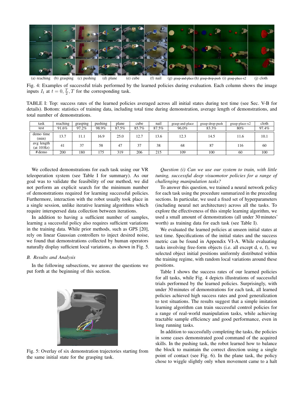

Fig. 4: Examples of successful trials performed by the learned policies during evaluation. Each column shows the image

inputs  $I_t$  at  $t = 0, \frac{T}{2}, T$  for the corresponding task.

TABLE I: Top: success rates of the learned policies averaged across all initial states during test time (see Sec. V-B for details). Bottom: statistics of training data, including total time during demonstration, average length of demonstrations, and total number of demonstrations.

| task                     | reaching | grasping | pushing | plane | cube  | nail         | grasp-and-place | grasp-drop-push | grasp-place-x2 | cloth |
|--------------------------|----------|----------|---------|-------|-------|--------------|-----------------|-----------------|----------------|-------|
| test                     | 91.6%    | 97.2%    | 98.9%   | 87.5% | 85.7% | $.5\%$<br>87 | 96.0%           | 83.3%           | 80%            | 97.4% |
| demo time<br>(min)       | 13.7     | 11.1     | 16.9    | 25.0  | 12.7  | 13.6         | 12.3            | 14.5            | 11.6           | 10.1  |
| avg length<br>(at 10 Hz) | 41       | 37       | 58      | 47    | 37    | 38           | 68              | 87              | 116            | 60    |
| # demo                   | 200      | 180      | 175     | 319   | 206   | 215          | 109             | 100             | 60             | 100   |

We collected demonstrations for each task using our VR teleoperation system (see Table I for summary). As our goal was to validate the feasibility of our method, we did not perform an explicit search for the minimum number of demonstrations required for learning successful policies. Furthermore, interaction with the robot usually took place in a single session, unlike iterative learning algorithms which require interspersed data collection between iterations.

In addition to having a sufficient number of samples, learning a successful policy also requires sufficient variations in the training data. While prior methods, such as GPS [20], rely on linear Gaussian controllers to inject desired noise, we found that demonstrations collected by human operators naturally display sufficient local variations, as shown in Fig. 5.

#### *B. Results and Analysis*

In the following subsections, we answer the questions we put forth at the beginning of this section.



Fig. 5: Overlay of six demonstration trajectories starting from the same initial state for the grasping task.

*Question (i) Can we use our system to train, with little tuning, successful deep visuomotor policies for a range of challenging manipulation tasks?*

To answer this question, we trained a neural network policy for each task using the procedure summarized in the preceding sections. In particular, we used a fixed set of hyperparameters (including neural net architecture) across all the tasks. To explore the effectiveness of this simple learning algorithm, we used a small amount of demonstrations (all under 30 minutes' worth) as training data for each task (see Table I).

We evaluated the learned policies at unseen initial states at test time. Specifications of the initial states and the success metric can be found in Appendix VI-A. While evaluating tasks involving free-form objects (i.e. all except d, e, f), we selected object initial positions uniformly distributed within the training regime, with random local variations around these positions.

Table I shows the success rates of our learned policies for all tasks, while Fig. 4 depicts illustrations of successful trials performed by the learned policies. Surprisingly, with under 30 minutes of demonstrations for each task, all learned policies achieved high success rates and good generalization to test situations. The results suggest that a simple imitation learning algorithm can train successful control policies for a range of real-world manipulation tasks, while achieving tractable sample efficiency and good performance, even in long running tasks.

In addition to successfully completing the tasks, the policies in some cases demonstrated good command of the acquired skills. In the pushing task, the robot learned how to balance the block to maintain the correct direction using a single point of contact (see Fig. 6). In the plane task, the policy chose to wiggle slightly only when movement came to a halt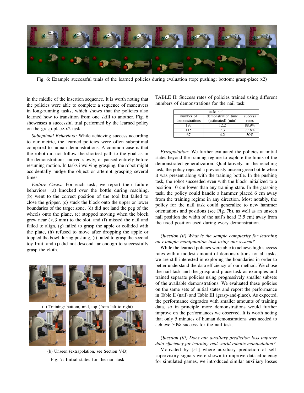

Fig. 6: Example successful trials of the learned policies during evaluation (top: pushing; bottom: grasp-place x2)

in the middle of the insertion sequence. It is worth noting that the policies were able to complete a sequence of maneuvers in long-running tasks, which shows that the policies also learned how to transition from one skill to another. Fig. 6 showcases a successful trial performed by the learned policy on the grasp-place-x2 task.

*Suboptimal Behaviors:* While achieving success according to our metric, the learned policies were often suboptimal compared to human demonstrations. A common case is that the robot did not follow the shortest path to the goal as in the demonstrations, moved slowly, or paused entirely before resuming motion. In tasks involving grasping, the robot might accidentally nudge the object or attempt grasping several times.

*Failure Cases:* For each task, we report their failure behaviors: (a) knocked over the bottle during reaching, (b) went to the correct position of the tool but failed to close the gripper, (c) stuck the block onto the upper or lower boundaries of the target zone, (d) did not land the peg of the wheels onto the plane, (e) stopped moving when the block grew near  $(< 3$  mm) to the slot, and (f) missed the nail and failed to align, (g) failed to grasp the apple or collided with the plate, (h) refused to move after dropping the apple or toppled the bowl during pushing, (i) failed to grasp the second toy fruit, and (j) did not descend far enough to successfully grasp the cloth.



(b) Unseen (extrapolation, see Section V-B) Fig. 7: Initial states for the nail task

|  |                                             |  |  | TABLE II: Success rates of policies trained using different |
|--|---------------------------------------------|--|--|-------------------------------------------------------------|
|  | numbers of demonstrations for the nail task |  |  |                                                             |

| task: nail     |                    |         |  |  |  |  |  |
|----------------|--------------------|---------|--|--|--|--|--|
| number of      | demonstration time | success |  |  |  |  |  |
| demonstrations | (estimated) (min)  | rates   |  |  |  |  |  |
| 193            | 122                | 88.9%   |  |  |  |  |  |
| 115            | 73                 | 77.8%   |  |  |  |  |  |
|                |                    | 50%     |  |  |  |  |  |

*Extrapolation:* We further evaluated the policies at initial states beyond the training regime to explore the limits of the demonstrated generalization. Qualitatively, in the reaching task, the policy rejected a previously unseen green bottle when it was present along with the training bottle. In the pushing task, the robot succeeded even with the block initialized to a position 10 cm lower than any training state. In the grasping task, the policy could handle a hammer placed 6 cm away from the training regime in any direction. Most notably, the policy for the nail task could generalize to new hammer orientations and positions (see Fig. 7b), as well as an unseen nail position the width of the nail's head (3.5 cm) away from the fixed position used during every demonstration.

### *Question (ii) What is the sample complexity for learning an example manipulation task using our system?*

While the learned policies were able to achieve high success rates with a modest amount of demonstrations for all tasks, we are still interested in exploring the boundaries in order to better understand the data efficiency of our method. We chose the nail task and the grasp-and-place task as examples and trained separate policies using progressively smaller subsets of the available demonstrations. We evaluated these policies on the same sets of initial states and report the performance in Table II (nail) and Table III (grasp-and-place). As expected, the performance degrades with smaller amounts of training data, so in principle more demonstrations would further improve on the performances we observed. It is worth noting that only 5 minutes of human demonstrations was needed to achieve 50% success for the nail task.

*Question (iii) Does our auxiliary prediction loss improve data efficiency for learning real-world robotic manipulation?*

Motivated by [51] where auxiliary prediction of selfsupervisory signals were shown to improve data efficiency for simulated games, we introduced similar auxiliary losses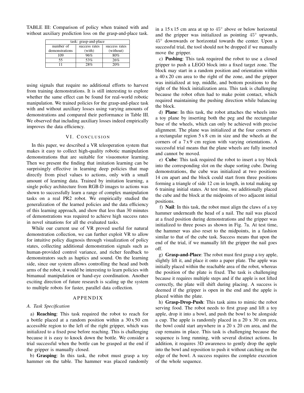| task: grasp-and-place |               |               |  |  |  |  |
|-----------------------|---------------|---------------|--|--|--|--|
| number of             | success rates | success rates |  |  |  |  |
| demonstrations        | (with)        | (without)     |  |  |  |  |
| 109                   | 96%           | 80%           |  |  |  |  |
| 55                    | 53%           | 26%           |  |  |  |  |
|                       | 28%           | 20%           |  |  |  |  |

TABLE III: Comparison of policy when trained with and without auxiliary prediction loss on the grasp-and-place task.

using signals that require no additional efforts to harvest from training demonstrations. It is still interesting to explore whether the same effect can be found for real-world robotic manipulation. We trained policies for the grasp-and-place task with and without auxiliary losses using varying amounts of demonstrations and compared their performance in Table III. We observed that including auxiliary losses indeed empirically improves the data efficiency.

#### VI. CONCLUSION

In this paper, we described a VR teleoperation system that makes it easy to collect high-quality robotic manipulation demonstrations that are suitable for visuomotor learning. Then we present the finding that imitation learning can be surprisingly effective in learning deep policies that map directly from pixel values to actions, only with a small amount of learning data. Trained by imitation learning, a single policy architecture from RGB-D images to actions was shown to successfully learn a range of complex manipulation tasks on a real PR2 robot. We empirically studied the generalization of the learned policies and the data efficiency of this learning approach, and show that less than 30 minutes of demonstrations was required to achieve high success rates in novel situations for all the evaluated tasks.

While our current use of VR proved useful for natural demonstration collection, we can further exploit VR to allow for intuitive policy diagnosis through visualization of policy states, collecting additional demonstration signals such as human-provided control variance, and richer feedback to demonstrators such as haptics and sound. On the learning side, since our system allows controlling the head and both arms of the robot, it would be interesting to learn policies with bimanual manipulation or hand-eye coordination. Another exciting direction of future research is scaling up the system to multiple robots for faster, parallel data collection.

### **APPENDIX**

#### *A. Task Specification*

a) Reaching: This task required the robot to reach for a bottle placed at a random position within a  $30 \times 50$  cm accessible region to the left of the right gripper, which was initialized to a fixed pose before reaching. This is challenging because it is easy to knock down the bottle. We consider a trial successful when the bottle can be grasped at the end if the gripper is manually closed.

b) Grasping: In this task, the robot must grasp a toy hammer on the table. The hammer was placed randomly

in a 15 x 15 cm area at up to 45◦ above or below horizontal and the gripper was initialized as pointing 45◦ upwards, 45◦ downwards or horizontal towards the center. Upon a successful trial, the tool should not be dropped if we manually move the gripper.

c) Pushing: This task required the robot to use a closed gripper to push a LEGO block into a fixed target zone. The block may start in a random position and orientation within a 40 x 20 cm area to the right of the zone, and the gripper was initialized at top, middle, and bottom positions to the right of the block initialization area. This task is challenging because the robot often had to make point contact, which required maintaining the pushing direction while balancing the block.

d) Plane: In this task, the robot attaches the wheels into a toy plane by inserting both the peg and the rectangular base of the wheels, which can only be achieved with precise alignment. The plane was initialized at the four corners of a rectangular region 5 x 8 cm in size and the wheels at the corners of a 7 x 9 cm region with varying orientations. A successful trial means that the plane wheels are fully inserted and cannot be moved.

e) Cube: This task required the robot to insert a toy block into the corresponding slot on the shape sorting cube. During demonstrations, the cube was initialized at two positions 14 cm apart and the block could start from three positions forming a triangle of side 12 cm in length, in total making up 6 training initial states. At test time, we additionally placed the cube and the block at the midpoints of two adjacent initial positions.

f) Nail: In this task, the robot must align the claws of a toy hammer underneath the head of a nail. The nail was placed at a fixed position during demonstrations and the gripper was initialized to three poses as shown in Fig. 7a. At test time, the hammer was also reset to the midpoints, in a fashion similar to that of the cube task. Success means that upon the end of the trial, if we manually lift the gripper the nail goes off.

g) Grasp-and-Place: The robot must first grasp a toy apple, slightly lift it, and place it onto a paper plate. The apple was initially placed within the reachable area of the robot, whereas the position of the plate is fixed. The task is challenging because it requires multiple steps and if the apple is not lifted correctly, the plate will shift during placing. A success is deemed if the gripper is open in the end and the apple is placed within the plate.

h) Grasp-Drop-Push: This task aims to mimic the robot serving food. The robot needs to first grasp and lift a toy apple, drop it into a bowl, and push the bowl to be alongside a cup. The apple is randomly placed in a 20 x 30 cm area, the bowl could start anywhere in a 20 x 20 cm area, and the cup remains in place. This task is challenging because the sequence is long running, with several distinct actions. In addition, it requires 3D awareness to gently drop the apple into the bowl and reposition to push it without catching on the edge of the bowl. A success requires the complete execution of the whole sequence.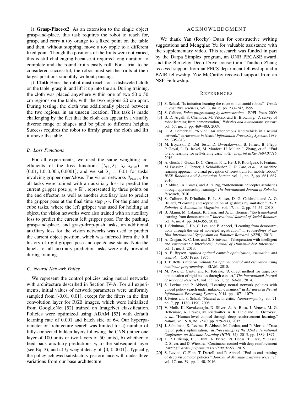i) Grasp-Place-x2: As an extension to the single object grasp-and-place, this task requires the robot to reach for, grasp, and carry a toy orange to a fixed point on the table and then, without stopping, move a toy apple to a different fixed point. Though the positions of the fruits were not varied, this is still challenging because it required long duration to complete and the round fruits easily roll. For a trial to be considered successful, the robot must set the fruits at their target positions smoothly without pausing.

j) Cloth Here, the robot must reach for a disheveled cloth on the table, grasp it, and lift it up into the air. During training, the cloth was placed anywhere within one of two 50 x 50 cm regions on the table, with the two regions 20 cm apart. During testing, the cloth was additionally placed between the two regions, in an unseen location. This task is made challenging by the fact that the cloth can appear in a visually diverse range of shapes and be piled to different heights. Success requires the robot to firmly grasp the cloth and lift it above the table.

#### *B. Loss Functions*

For all experiments, we used the same weighting coefficients of the loss functions  $(\lambda_{l2}, \lambda_{l1}, \lambda_c, \lambda_{aux})$  $(0.01, 1.0, 0.005, 0.0001)$ , and we set  $\lambda_g = 0.01$  for tasks involving gripper open/close. The vision networks  $\theta_{vision}$  for all tasks were trained with an auxiliary loss to predict the current gripper pose  $p_t \in \mathbb{R}^9$ , represented by three points on the end effector, as well as another auxiliary loss to predict the gripper pose at the final time step  $p_T$ . For the plane and cube tasks, where the left gripper was used for holding an object, the vision networks were also trained with an auxiliary loss to predict the current left gripper pose. For the pushing, grasp-and-place, and grasp-drop-push tasks, an additional auxiliary loss for the vision networks was used to predict the current object position, which was inferred from the full history of right gripper pose and open/close status. Note the labels for all auxiliary prediction tasks were only provided during training.

#### *C. Neural Network Policy*

We represent the control policies using neural networks with architecture described in Section IV-A. For all experiments, initial values of network parameters were uniformly sampled from [-0.01, 0.01], except for the filters in the first convolution layer for RGB images, which were initialized from GoogLeNet [52] trained on ImageNet classification. Policies were optimized using ADAM [53] with default learning rate of 0.001 and batch size of 64. Our hyperparameter or architecture search was limited to: a) number of fully-connected hidden layers following the CNN (either one layer of 100 units or two layers of 50 units), b) whether to feed back auxiliary predictions  $s_t$  to the subsequent layer (see Eq. 3), and c)  $l_2$  weight decay of  $\{0, 0.0001\}$ . Typically, the policy achieved satisfactory performance with under three variations from our base architecture.

#### **ACKNOWLEDGMENT**

We thank Yan (Rocky) Duan for constructive writing suggestions and Mengqiao Yu for valuable assistance with the supplementary video. This research was funded in part by the Darpa Simplex program, an ONR PECASE award, and the Berkeley Deep Drive consortium. Tianhao Zhang received support from an EECS department fellowship and a BAIR fellowship. Zoe McCarthy received support from an NSF Fellowship.

### **REFERENCES**

- [1] S. Schaal, "Is imitation learning the route to humanoid robots?" *Trends in cognitive sciences*, vol. 3, no. 6, pp. 233–242, 1999.
- [2] S. Calinon, *Robot programming by demonstration*. EPFL Press, 2009.
- [3] B. D. Argall, S. Chernova, M. Veloso, and B. Browning, "A survey of robot learning from demonstration," *Robotics and autonomous systems*, vol. 57, no. 5, pp. 469–483, 2009.
- [4] D. A. Pomerleau, "Alvinn: An autonomous land vehicle in a neural network," in *Advances in Neural Information Processing Systems*, 1989, pp. 305–313.
- [5] M. Bojarski, D. Del Testa, D. Dworakowski, B. Firner, B. Flepp, P. Goyal, L. D. Jackel, M. Monfort, U. Muller, J. Zhang, *et al.*, "End to end learning for self-driving cars," *arXiv preprint arXiv:1604.07316*, 2016.
- [6] A. Giusti, J. Guzzi, D. C. Cireşan, F.-L. He, J. P. Rodríguez, F. Fontana, M. Faessler, C. Forster, J. Schmidhuber, G. Di Caro, *et al.*, "A machine learning approach to visual perception of forest trails for mobile robots,' *IEEE Robotics and Automation Letters*, vol. 1, no. 2, pp. 661–667, 2016.
- [7] P. Abbeel, A. Coates, and A. Y. Ng, "Autonomous helicopter aerobatics through apprenticeship learning," *The International Journal of Robotics Research*, 2010.
- [8] S. Calinon, F. D'halluin, E. L. Sauser, D. G. Caldwell, and A. G. Billard, "Learning and reproduction of gestures by imitation," *IEEE Robotics & Automation Magazine*, vol. 17, no. 2, pp. 44–54, 2010.
- [9] B. Akgun, M. Cakmak, K. Jiang, and A. L. Thomaz, "Keyframe-based learning from demonstration," *International Journal of Social Robotics*, vol. 4, no. 4, pp. 343–355, 2012.
- [10] J. Schulman, J. Ho, C. Lee, and P. Abbeel, "Learning from demonstrations through the use of non-rigid registration," in *Proceedings of the 16th International Symposium on Robotics Research (ISRR)*, 2013.
- [11] A. Dragan, K. C. Lee, and S. Srinivasa, "Teleoperation with intelligent and customizable interfaces," *Journal of Human-Robot Interaction*, vol. 1, no. 3, 2013.
- [12] A. E. Bryson, *Applied optimal control: optimization, estimation and control*. CRC Press, 1975.
- [13] J. T. Betts, *Practical methods for optimal control and estimation using nonlinear programming*. SIAM, 2010.
- [14] M. Posa, C. Cantu, and R. Tedrake, "A direct method for trajectory optimization of rigid bodies through contact," *The International Journal of Robotics Research*, vol. 33, no. 1, pp. 69–81, 2014.
- [15] S. Levine and P. Abbeel, "Learning neural network policies with guided policy search under unknown dynamics," in *Advances in Neural Information Processing Systems*, 2014, pp. 1071–1079.
- [16] J. Peters and S. Schaal, "Natural actor-critic," *Neurocomputing*, vol. 71, no. 7, pp. 1180–1190, 2008.
- [17] V. Mnih, K. Kavukcuoglu, D. Silver, A. A. Rusu, J. Veness, M. G. Bellemare, A. Graves, M. Riedmiller, A. K. Fidjeland, G. Ostrovski, et al., "Human-level control through deep reinforcement learning," *Nature*, vol. 518, no. 7540, pp. 529–533, 2015.
- [18] J. Schulman, S. Levine, P. Abbeel, M. Jordan, and P. Moritz, "Trust region policy optimization," in *Proceedings of the 32nd International Conference on Machine Learning (ICML-15)*, 2015, pp. 1889–1897.
- [19] T. P. Lillicrap, J. J. Hunt, A. Pritzel, N. Heess, T. Erez, Y. Tassa, D. Silver, and D. Wierstra, "Continuous control with deep reinforcement learning," *arXiv preprint arXiv:1509.02971*, 2015.
- [20] S. Levine, C. Finn, T. Darrell, and P. Abbeel, "End-to-end training of deep visuomotor policies," *Journal of Machine Learning Research*, vol. 17, no. 39, pp. 1–40, 2016.